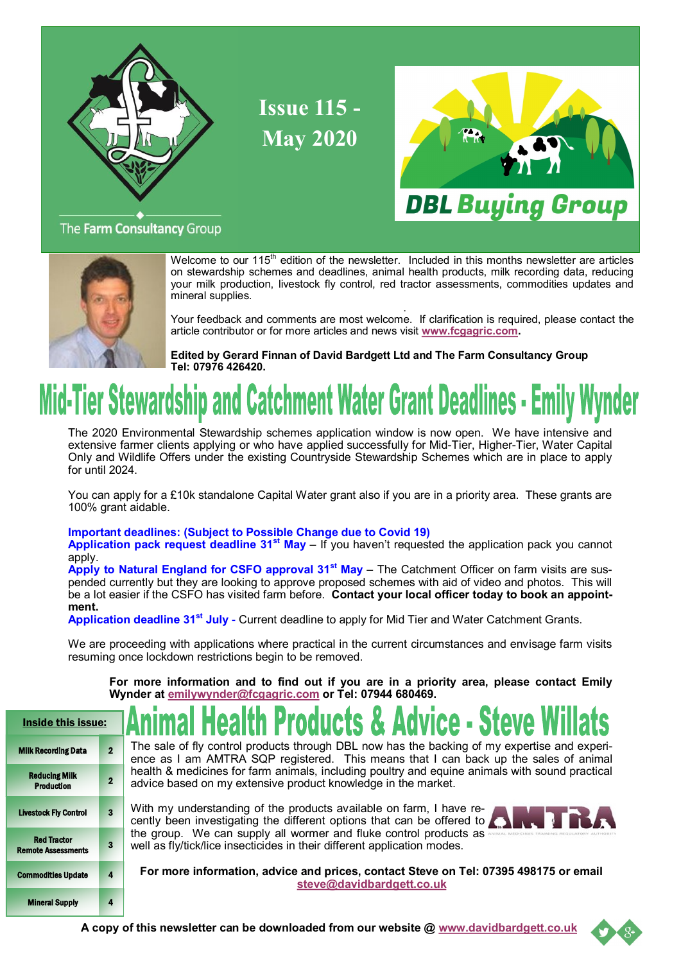

**Issue 115 - May 2020**



### The Farm Consultancy Group



Welcome to our 115<sup>th</sup> edition of the newsletter. Included in this months newsletter are articles on stewardship schemes and deadlines, animal health products, milk recording data, reducing your milk production, livestock fly control, red tractor assessments, commodities updates and mineral supplies.

 . Your feedback and comments are most welcome. If clarification is required, please contact the article contributor or for more articles and news visit **[www.fcgagric.com.](http://www.fcgagric.com)** 

**Edited by Gerard Finnan of David Bardgett Ltd and The Farm Consultancy Group Tel: 07976 426420.**

# Mid-Tier Stewardship and Catchment Water Grant Deadlines - Emil

The 2020 Environmental Stewardship schemes application window is now open. We have intensive and extensive farmer clients applying or who have applied successfully for Mid-Tier, Higher-Tier, Water Capital Only and Wildlife Offers under the existing Countryside Stewardship Schemes which are in place to apply for until 2024.

You can apply for a £10k standalone Capital Water grant also if you are in a priority area. These grants are 100% grant aidable.

### **Important deadlines: (Subject to Possible Change due to Covid 19)**

**Application pack request deadline 31st May** – If you haven't requested the application pack you cannot apply.

**Apply to Natural England for CSFO approval 31st May** – The Catchment Officer on farm visits are suspended currently but they are looking to approve proposed schemes with aid of video and photos. This will be a lot easier if the CSFO has visited farm before. **Contact your local officer today to book an appointment.** 

**Application deadline 31st July** - Current deadline to apply for Mid Tier and Water Catchment Grants.

We are proceeding with applications where practical in the current circumstances and envisage farm visits resuming once lockdown restrictions begin to be removed.

**For more information and to find out if you are in a priority area, please contact Emily Wynder at [emilywynder@fcgagric.com](mailto:emilywynder@fcgagric.com) or Tel: 07944 680469.**

| Inside this issue:                              |                |                            |  |  |
|-------------------------------------------------|----------------|----------------------------|--|--|
| <b>Milk Recording Data</b>                      | $\overline{2}$ | The<br>enc                 |  |  |
| <b>Reducing Milk</b><br><b>Production</b>       | $\overline{2}$ | hea<br>adv                 |  |  |
| <b>Livestock Fly Control</b>                    | 3              | With<br>cen<br>the<br>well |  |  |
| <b>Red Tractor</b><br><b>Remote Assessments</b> | 3              |                            |  |  |
| <b>Commodities Update</b>                       | 4              |                            |  |  |
| <b>Mineral Supply</b>                           | 4              |                            |  |  |

sale of fly control products through DBL now has the backing of my expertise and experie as I am AMTRA SQP registered. This means that I can back up the sales of animal Ith & medicines for farm animals, including poultry and equine animals with sound practical ice based on my extensive product knowledge in the market.

h my understanding of the products available on farm, I have retly been investigating the different options that can be offered to group. We can supply all wormer and fluke control products as as fly/tick/lice insecticides in their different application modes.

**For more information, advice and prices, contact Steve on Tel: 07395 498175 or email [steve@davidbardgett.co.uk](mailto:steve@davidbardgett.co.uk)**

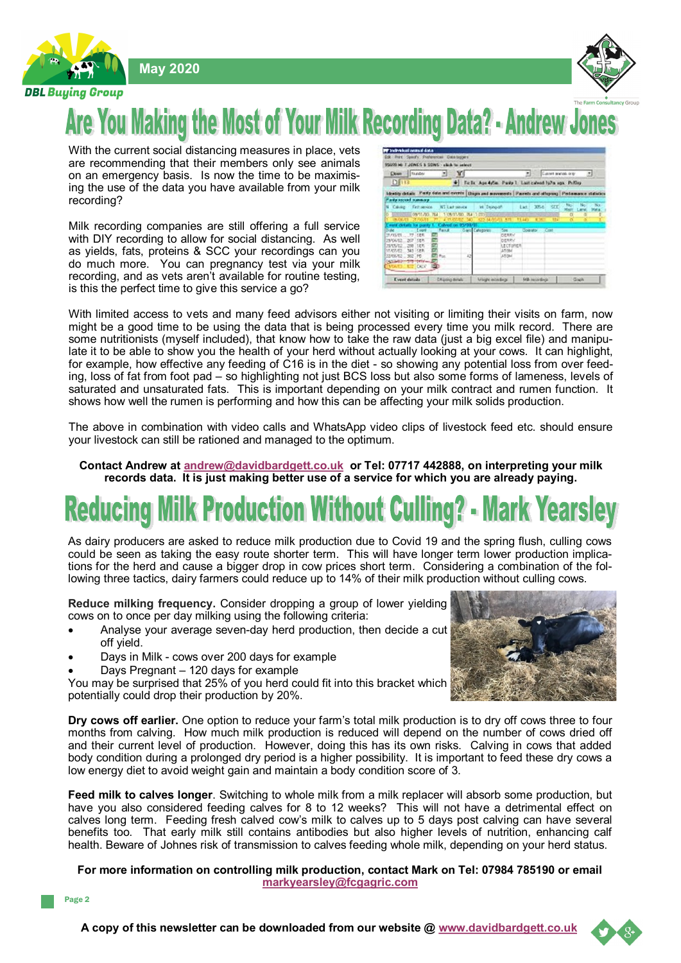**May 2020**





## Are You Making the Most of Your Milk Recording Data? - Andrew Jo

With the current social distancing measures in place, vets are recommending that their members only see animals on an emergency basis. Is now the time to be maximising the use of the data you have available from your milk recording?

Milk recording companies are still offering a full service with DIY recording to allow for social distancing. As well as yields, fats, proteins & SCC your recordings can you do much more. You can pregnancy test via your milk recording, and as vets aren't available for routine testing, is this the perfect time to give this service a go?

| Dien   Israw                                                                                                                           |        | Y.           |                      |                                                           | ×                  | Custom and and Custom |   |         | 츼               |
|----------------------------------------------------------------------------------------------------------------------------------------|--------|--------------|----------------------|-----------------------------------------------------------|--------------------|-----------------------|---|---------|-----------------|
| <b>DE113</b>                                                                                                                           |        |              |                      | Fir By Age 4ptim. Parity 1. Last calved ly/m ago. Pr/Oxy. |                    |                       |   |         |                 |
| identity details. Party 60th and member (Dispis and movements.) Pacents and otherway. Perhamance statistic                             |        |              |                      |                                                           |                    |                       |   |         |                 |
| arty second manning.                                                                                                                   |        |              |                      |                                                           |                    |                       |   |         |                 |
| Caving First person. NS Last sevice  Int. Enjoyah                                                                                      |        |              |                      |                                                           |                    | <b>SCC</b>            |   | Not Not | $-768$          |
|                                                                                                                                        |        |              |                      |                                                           | Lat. 3754          |                       |   |         |                 |
|                                                                                                                                        |        |              |                      |                                                           |                    |                       |   |         |                 |
| CB/17/00 764 1 09/17/00 764 1003 000 000 0000 0000                                                                                     |        |              |                      |                                                           | 13,443             | ш                     | O |         |                 |
|                                                                                                                                        |        | about on the |                      | 22 M/23/01 571                                            |                    |                       |   |         |                 |
| . Event                                                                                                                                | Fank - |              | <b>Oan Categorin</b> | 500                                                       | <b>Coardo Cost</b> |                       |   |         |                 |
| 158%                                                                                                                                   |        |              |                      | <b>DERRY</b>                                              |                    |                       |   |         |                 |
| <b>FER</b>                                                                                                                             |        |              |                      | <b>DERRY</b>                                              |                    |                       |   |         |                 |
|                                                                                                                                        |        |              |                      | LECTURER                                                  |                    |                       |   |         |                 |
|                                                                                                                                        |        |              |                      | ATCM                                                      |                    |                       |   |         | Marr Lane, Mela |
| word details for part-<br>27.793/0177<br>25/06/02 207<br>25/05/02 200 EER<br>15.05/02 343 5ER<br>22/06/02 302 PD<br>04.50-83-599-649/- | For    | -42          |                      | ATOM                                                      |                    |                       |   |         |                 |

With limited access to vets and many feed advisors either not visiting or limiting their visits on farm, now might be a good time to be using the data that is being processed every time you milk record. There are some nutritionists (myself included), that know how to take the raw data (just a big excel file) and manipulate it to be able to show you the health of your herd without actually looking at your cows. It can highlight, for example, how effective any feeding of C16 is in the diet - so showing any potential loss from over feeding, loss of fat from foot pad – so highlighting not just BCS loss but also some forms of lameness, levels of saturated and unsaturated fats. This is important depending on your milk contract and rumen function. It shows how well the rumen is performing and how this can be affecting your milk solids production.

The above in combination with video calls and WhatsApp video clips of livestock feed etc. should ensure your livestock can still be rationed and managed to the optimum.

**Contact Andrew at [andrew@davidbardgett.co.uk](mailto:andrew@davidbardgett.co.uk) or Tel: 07717 442888, on interpreting your milk records data. It is just making better use of a service for which you are already paying.** 

## **roduction Without (**

As dairy producers are asked to reduce milk production due to Covid 19 and the spring flush, culling cows could be seen as taking the easy route shorter term. This will have longer term lower production implications for the herd and cause a bigger drop in cow prices short term. Considering a combination of the following three tactics, dairy farmers could reduce up to 14% of their milk production without culling cows.

**Reduce milking frequency.** Consider dropping a group of lower yielding cows on to once per day milking using the following criteria:

- Analyse your average seven-day herd production, then decide a cut off yield.
- Days in Milk cows over 200 days for example
- Days Pregnant 120 days for example

You may be surprised that 25% of you herd could fit into this bracket which potentially could drop their production by 20%.



**Dry cows off earlier.** One option to reduce your farm's total milk production is to dry off cows three to four months from calving. How much milk production is reduced will depend on the number of cows dried off and their current level of production. However, doing this has its own risks. Calving in cows that added body condition during a prolonged dry period is a higher possibility. It is important to feed these dry cows a low energy diet to avoid weight gain and maintain a body condition score of 3.

**Feed milk to calves longer**. Switching to whole milk from a milk replacer will absorb some production, but have you also considered feeding calves for 8 to 12 weeks? This will not have a detrimental effect on calves long term. Feeding fresh calved cow's milk to calves up to 5 days post calving can have several benefits too. That early milk still contains antibodies but also higher levels of nutrition, enhancing calf health. Beware of Johnes risk of transmission to calves feeding whole milk, depending on your herd status.

### **For more information on controlling milk production, contact Mark on Tel: 07984 785190 or email [markyearsley@fcgagric.com](mailto:markyearsley@fcgagric.com)**

Page 2

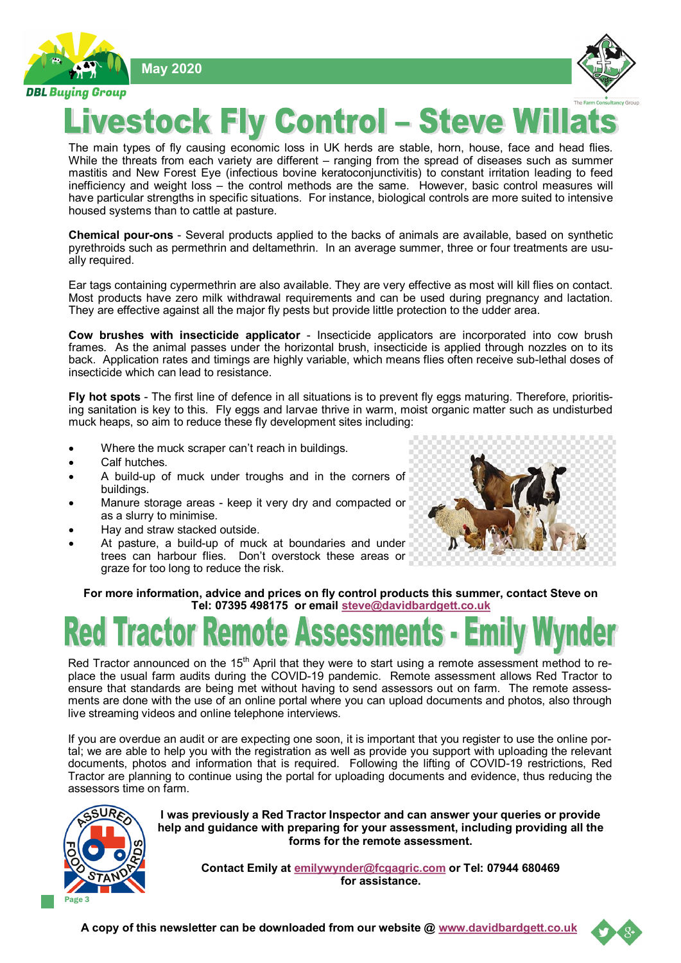**May 2020**

**DBL Buying Group** 



### tock Fly Control - Steve **Test**

The main types of fly causing economic loss in UK herds are stable, horn, house, face and head flies. While the threats from each variety are different – ranging from the spread of diseases such as summer mastitis and New Forest Eye (infectious bovine keratoconjunctivitis) to constant irritation leading to feed inefficiency and weight loss - the control methods are the same. However, basic control measures will have particular strengths in specific situations. For instance, biological controls are more suited to intensive housed systems than to cattle at pasture.

**Chemical pour-ons** - Several products applied to the backs of animals are available, based on synthetic pyrethroids such as permethrin and deltamethrin. In an average summer, three or four treatments are usually required.

Ear tags containing cypermethrin are also available. They are very effective as most will kill flies on contact. Most products have zero milk withdrawal requirements and can be used during pregnancy and lactation. They are effective against all the major fly pests but provide little protection to the udder area.

**Cow brushes with insecticide applicator** - Insecticide applicators are incorporated into cow brush frames. As the animal passes under the horizontal brush, insecticide is applied through nozzles on to its back. Application rates and timings are highly variable, which means flies often receive sub-lethal doses of insecticide which can lead to resistance.

**Fly hot spots** - The first line of defence in all situations is to prevent fly eggs maturing. Therefore, prioritising sanitation is key to this. Fly eggs and larvae thrive in warm, moist organic matter such as undisturbed muck heaps, so aim to reduce these fly development sites including:

- Where the muck scraper can't reach in buildings.
- Calf hutches.
- A build-up of muck under troughs and in the corners of buildings.
- Manure storage areas keep it very dry and compacted or as a slurry to minimise.
- Hay and straw stacked outside.
- At pasture, a build-up of muck at boundaries and under trees can harbour flies. Don't overstock these areas or graze for too long to reduce the risk.



**For more information, advice and prices on fly control products this summer, contact Steve on Tel: 07395 498175 or email [steve@davidbardgett.co.uk](mailto:steve@davidbardgett.co.uk)**

Red Tractor announced on the 15<sup>th</sup> April that they were to start using a remote assessment method to replace the usual farm audits during the COVID-19 pandemic. Remote assessment allows Red Tractor to ensure that standards are being met without having to send assessors out on farm. The remote assessments are done with the use of an online portal where you can upload documents and photos, also through live streaming videos and online telephone interviews.

If you are overdue an audit or are expecting one soon, it is important that you register to use the online portal; we are able to help you with the registration as well as provide you support with uploading the relevant documents, photos and information that is required. Following the lifting of COVID-19 restrictions, Red Tractor are planning to continue using the portal for uploading documents and evidence, thus reducing the assessors time on farm.



**I was previously a Red Tractor Inspector and can answer your queries or provide help and guidance with preparing for your assessment, including providing all the forms for the remote assessment.** 

**Contact Emily at [emilywynder@fcgagric.com](mailto:emilywynder@fcgagric.com%20Or) or Tel: 07944 680469 for assistance.**